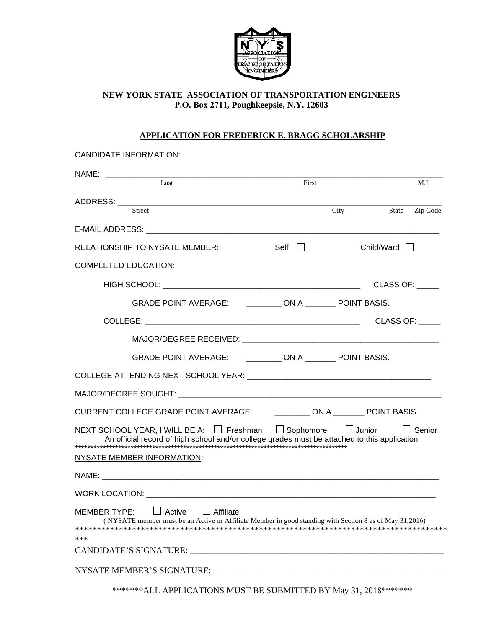

## **NEW YORK STATE ASSOCIATION OF TRANSPORTATION ENGINEERS P.O. Box 2711, Poughkeepsie, N.Y. 12603**

## **APPLICATION FOR FREDERICK E. BRAGG SCHOLARSHIP**

| <b>CANDIDATE INFORMATION:</b>                                                                                                                                            |       |      |                   |                |
|--------------------------------------------------------------------------------------------------------------------------------------------------------------------------|-------|------|-------------------|----------------|
| Last                                                                                                                                                                     | First |      |                   | M.I.           |
|                                                                                                                                                                          |       |      |                   |                |
| <b>Street</b>                                                                                                                                                            |       | City |                   | State Zip Code |
|                                                                                                                                                                          |       |      |                   |                |
| <b>RELATIONSHIP TO NYSATE MEMBER:</b>                                                                                                                                    | Self  |      | Child/Ward $\Box$ |                |
| <b>COMPLETED EDUCATION:</b>                                                                                                                                              |       |      |                   |                |
|                                                                                                                                                                          |       |      | CLASS OF:         |                |
| GRADE POINT AVERAGE: ___________ ON A ________ POINT BASIS.                                                                                                              |       |      |                   |                |
|                                                                                                                                                                          |       |      | <b>CLASS OF:</b>  |                |
|                                                                                                                                                                          |       |      |                   |                |
| GRADE POINT AVERAGE: ____________ ON A _________ POINT BASIS.                                                                                                            |       |      |                   |                |
|                                                                                                                                                                          |       |      |                   |                |
|                                                                                                                                                                          |       |      |                   |                |
| CURRENT COLLEGE GRADE POINT AVERAGE: ____________ ON A ________ POINT BASIS.                                                                                             |       |      |                   |                |
| NEXT SCHOOL YEAR, I WILL BE A: □ Freshman □ Sophomore □ Junior □ Senior<br>An official record of high school and/or college grades must be attached to this application. |       |      |                   |                |
| NYSATE MEMBER INFORMATION:                                                                                                                                               |       |      |                   |                |
|                                                                                                                                                                          |       |      |                   |                |
|                                                                                                                                                                          |       |      |                   |                |
| Affiliate<br><b>MEMBER TYPE:</b><br>Active<br>(NYSATE member must be an Active or Affiliate Member in good standing with Section 8 as of May 31,2016)<br>***             |       |      |                   |                |
|                                                                                                                                                                          |       |      |                   |                |
| NYSATE MEMBER'S SIGNATURE:                                                                                                                                               |       |      |                   |                |

\*\*\*\*\*\*\*ALL APPLICATIONS MUST BE SUBMITTED BY May 31, 2018\*\*\*\*\*\*\*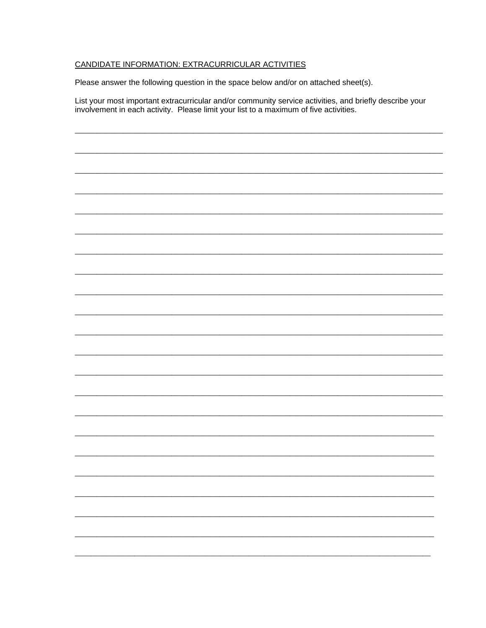## CANDIDATE INFORMATION: EXTRACURRICULAR ACTIVITIES

Please answer the following question in the space below and/or on attached sheet(s).

List your most important extracurricular and/or community service activities, and briefly describe your involvement in each activity. Please limit your list to a maximum of five activities.